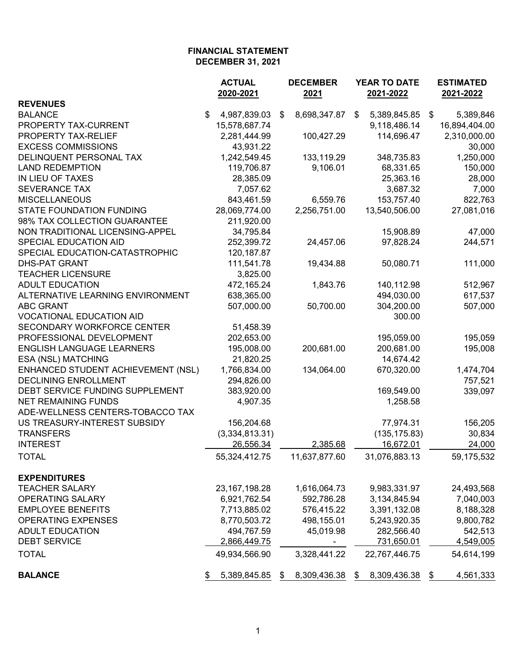|                                    |    | <b>ACTUAL</b><br>2020-2021 |    | <b>DECEMBER</b><br>2021      | YEAR TO DATE<br>2021-2022 |               |    | <b>ESTIMATED</b><br>2021-2022 |  |
|------------------------------------|----|----------------------------|----|------------------------------|---------------------------|---------------|----|-------------------------------|--|
| <b>REVENUES</b>                    |    |                            |    |                              |                           |               |    |                               |  |
| <b>BALANCE</b>                     | \$ | 4,987,839.03               | \$ | 8,698,347.87                 | \$                        | 5,389,845.85  | \$ | 5,389,846                     |  |
| PROPERTY TAX-CURRENT               |    | 15,578,687.74              |    |                              |                           | 9,118,486.14  |    | 16,894,404.00                 |  |
| PROPERTY TAX-RELIEF                |    | 2,281,444.99               |    | 100,427.29                   |                           | 114,696.47    |    | 2,310,000.00                  |  |
| <b>EXCESS COMMISSIONS</b>          |    | 43,931.22                  |    |                              |                           |               |    | 30,000                        |  |
| DELINQUENT PERSONAL TAX            |    | 1,242,549.45               |    | 133,119.29                   |                           | 348,735.83    |    | 1,250,000                     |  |
| <b>LAND REDEMPTION</b>             |    | 119,706.87                 |    | 9,106.01                     |                           | 68,331.65     |    | 150,000                       |  |
| IN LIEU OF TAXES                   |    | 28,385.09                  |    |                              |                           | 25,363.16     |    | 28,000                        |  |
| <b>SEVERANCE TAX</b>               |    | 7,057.62                   |    |                              |                           | 3,687.32      |    | 7,000                         |  |
| <b>MISCELLANEOUS</b>               |    | 843,461.59                 |    | 6,559.76                     |                           | 153,757.40    |    | 822,763                       |  |
| <b>STATE FOUNDATION FUNDING</b>    |    | 28,069,774.00              |    | 2,256,751.00                 |                           | 13,540,506.00 |    | 27,081,016                    |  |
| 98% TAX COLLECTION GUARANTEE       |    | 211,920.00                 |    |                              |                           |               |    |                               |  |
| NON TRADITIONAL LICENSING-APPEL    |    | 34,795.84                  |    |                              |                           | 15,908.89     |    | 47,000                        |  |
| SPECIAL EDUCATION AID              |    | 252,399.72                 |    | 24,457.06                    |                           | 97,828.24     |    | 244,571                       |  |
| SPECIAL EDUCATION-CATASTROPHIC     |    | 120, 187.87                |    |                              |                           |               |    |                               |  |
| <b>DHS-PAT GRANT</b>               |    | 111,541.78                 |    | 19,434.88                    |                           | 50,080.71     |    | 111,000                       |  |
| <b>TEACHER LICENSURE</b>           |    | 3,825.00                   |    |                              |                           |               |    |                               |  |
| <b>ADULT EDUCATION</b>             |    | 472,165.24                 |    | 1,843.76                     |                           | 140,112.98    |    | 512,967                       |  |
| ALTERNATIVE LEARNING ENVIRONMENT   |    | 638,365.00                 |    |                              |                           | 494,030.00    |    | 617,537                       |  |
| <b>ABC GRANT</b>                   |    | 507,000.00                 |    | 50,700.00                    |                           | 304,200.00    |    | 507,000                       |  |
| <b>VOCATIONAL EDUCATION AID</b>    |    |                            |    |                              |                           | 300.00        |    |                               |  |
| SECONDARY WORKFORCE CENTER         |    | 51,458.39                  |    |                              |                           |               |    |                               |  |
| PROFESSIONAL DEVELOPMENT           |    | 202,653.00                 |    |                              |                           | 195,059.00    |    | 195,059                       |  |
| <b>ENGLISH LANGUAGE LEARNERS</b>   |    | 195,008.00                 |    | 200,681.00                   |                           | 200,681.00    |    | 195,008                       |  |
| ESA (NSL) MATCHING                 |    | 21,820.25                  |    |                              |                           | 14,674.42     |    |                               |  |
| ENHANCED STUDENT ACHIEVEMENT (NSL) |    | 1,766,834.00               |    | 134,064.00                   |                           | 670,320.00    |    | 1,474,704                     |  |
| <b>DECLINING ENROLLMENT</b>        |    | 294,826.00                 |    |                              |                           |               |    | 757,521                       |  |
| DEBT SERVICE FUNDING SUPPLEMENT    |    | 383,920.00                 |    |                              |                           | 169,549.00    |    | 339,097                       |  |
| <b>NET REMAINING FUNDS</b>         |    | 4,907.35                   |    |                              |                           | 1,258.58      |    |                               |  |
| ADE-WELLNESS CENTERS-TOBACCO TAX   |    |                            |    |                              |                           |               |    |                               |  |
| US TREASURY-INTEREST SUBSIDY       |    | 156,204.68                 |    |                              |                           | 77,974.31     |    | 156,205                       |  |
| <b>TRANSFERS</b>                   |    | (3,334,813.31)             |    |                              |                           | (135, 175.83) |    | 30,834                        |  |
| <b>INTEREST</b>                    |    | 26,556.34                  |    | 2,385.68                     |                           | 16,672.01     |    | 24,000                        |  |
| <b>TOTAL</b>                       |    | 55,324,412.75              |    | 11,637,877.60                |                           | 31,076,883.13 |    | 59,175,532                    |  |
| <b>EXPENDITURES</b>                |    |                            |    |                              |                           |               |    |                               |  |
| <b>TEACHER SALARY</b>              |    | 23, 167, 198. 28           |    | 1,616,064.73                 |                           | 9,983,331.97  |    | 24,493,568                    |  |
| OPERATING SALARY                   |    | 6,921,762.54               |    | 592,786.28                   |                           | 3,134,845.94  |    | 7,040,003                     |  |
| <b>EMPLOYEE BENEFITS</b>           |    | 7,713,885.02               |    | 576,415.22                   |                           | 3,391,132.08  |    | 8,188,328                     |  |
| <b>OPERATING EXPENSES</b>          |    | 8,770,503.72               |    | 498,155.01                   |                           | 5,243,920.35  |    | 9,800,782                     |  |
| <b>ADULT EDUCATION</b>             |    | 494,767.59                 |    | 45,019.98                    |                           | 282,566.40    |    | 542,513                       |  |
| <b>DEBT SERVICE</b>                |    | 2,866,449.75               |    | $\qquad \qquad \blacksquare$ |                           | 731,650.01    |    | 4,549,005                     |  |
| <b>TOTAL</b>                       |    | 49,934,566.90              |    | 3,328,441.22                 |                           | 22,767,446.75 |    | 54,614,199                    |  |
| <b>BALANCE</b>                     |    | 5,389,845.85               | \$ | 8,309,436.38                 | \$                        | 8,309,436.38  | \$ | 4,561,333                     |  |
|                                    |    |                            |    |                              |                           |               |    |                               |  |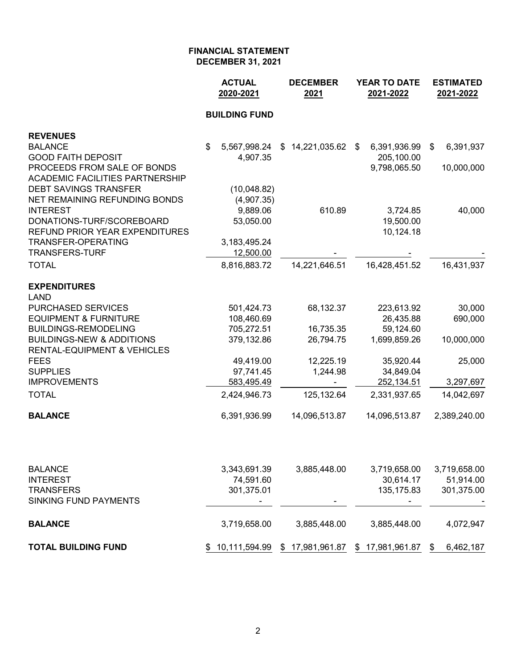|                                                                        | <b>ACTUAL</b><br>2020-2021 | <b>DECEMBER</b><br>2021 | YEAR TO DATE<br>2021-2022 | <b>ESTIMATED</b><br>2021-2022 |
|------------------------------------------------------------------------|----------------------------|-------------------------|---------------------------|-------------------------------|
|                                                                        | <b>BUILDING FUND</b>       |                         |                           |                               |
| <b>REVENUES</b>                                                        |                            |                         |                           |                               |
| <b>BALANCE</b>                                                         | \$<br>5,567,998.24         | $$14,221,035.62$ \$     | 6,391,936.99              | 6,391,937<br>\$               |
| <b>GOOD FAITH DEPOSIT</b>                                              | 4,907.35                   |                         | 205,100.00                |                               |
| PROCEEDS FROM SALE OF BONDS                                            |                            |                         | 9,798,065.50              | 10,000,000                    |
| <b>ACADEMIC FACILITIES PARTNERSHIP</b><br><b>DEBT SAVINGS TRANSFER</b> |                            |                         |                           |                               |
| NET REMAINING REFUNDING BONDS                                          | (10,048.82)<br>(4,907.35)  |                         |                           |                               |
| <b>INTEREST</b>                                                        | 9,889.06                   | 610.89                  | 3,724.85                  | 40,000                        |
| DONATIONS-TURF/SCOREBOARD                                              | 53,050.00                  |                         | 19,500.00                 |                               |
| REFUND PRIOR YEAR EXPENDITURES                                         |                            |                         | 10,124.18                 |                               |
| <b>TRANSFER-OPERATING</b>                                              | 3,183,495.24               |                         |                           |                               |
| <b>TRANSFERS-TURF</b>                                                  | 12,500.00                  |                         |                           |                               |
| <b>TOTAL</b>                                                           | 8,816,883.72               | 14,221,646.51           | 16,428,451.52             | 16,431,937                    |
| <b>EXPENDITURES</b><br>LAND                                            |                            |                         |                           |                               |
| PURCHASED SERVICES                                                     | 501,424.73                 | 68,132.37               | 223,613.92                | 30,000                        |
| <b>EQUIPMENT &amp; FURNITURE</b>                                       | 108,460.69                 |                         | 26,435.88                 | 690,000                       |
| BUILDINGS-REMODELING                                                   | 705,272.51                 | 16,735.35               | 59,124.60                 |                               |
| <b>BUILDINGS-NEW &amp; ADDITIONS</b>                                   | 379,132.86                 | 26,794.75               | 1,699,859.26              | 10,000,000                    |
| RENTAL-EQUIPMENT & VEHICLES                                            |                            |                         |                           |                               |
| FEES                                                                   | 49,419.00                  | 12,225.19               | 35,920.44                 | 25,000                        |
| <b>SUPPLIES</b>                                                        | 97,741.45                  | 1,244.98                | 34,849.04                 |                               |
| <b>IMPROVEMENTS</b>                                                    | 583,495.49                 |                         | 252,134.51                | 3,297,697                     |
| <b>TOTAL</b>                                                           | 2,424,946.73               | 125,132.64              | 2,331,937.65              | 14,042,697                    |
| <b>BALANCE</b>                                                         | 6,391,936.99               | 14,096,513.87           | 14,096,513.87             | 2,389,240.00                  |
|                                                                        |                            |                         |                           |                               |
| BALANCE                                                                | 3,343,691.39               | 3,885,448.00            | 3,719,658.00              | 3,719,658.00                  |
| <b>INTEREST</b>                                                        | 74,591.60                  |                         | 30,614.17                 | 51,914.00                     |
| <b>TRANSFERS</b><br>SINKING FUND PAYMENTS                              | 301,375.01                 |                         | 135, 175.83               | 301,375.00                    |
| <b>BALANCE</b>                                                         | 3,719,658.00               | 3,885,448.00            | 3,885,448.00              | 4,072,947                     |
|                                                                        |                            |                         |                           |                               |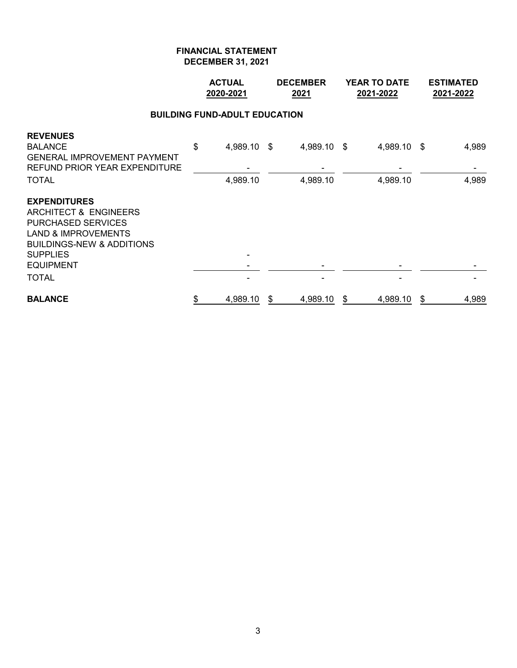|                                                                                                                                                                                                            | <b>ACTUAL</b><br>2020-2021 |                                      | <b>DECEMBER</b><br>2021 |                         | <b>YEAR TO DATE</b><br>2021-2022 | <b>ESTIMATED</b><br>2021-2022 |
|------------------------------------------------------------------------------------------------------------------------------------------------------------------------------------------------------------|----------------------------|--------------------------------------|-------------------------|-------------------------|----------------------------------|-------------------------------|
|                                                                                                                                                                                                            |                            | <b>BUILDING FUND-ADULT EDUCATION</b> |                         |                         |                                  |                               |
| <b>REVENUES</b><br><b>BALANCE</b><br><b>GENERAL IMPROVEMENT PAYMENT</b><br><b>REFUND PRIOR YEAR EXPENDITURE</b><br>TOTAL                                                                                   | \$                         | 4,989.10 \$<br>4,989.10              |                         | 4,989.10 \$<br>4,989.10 | 4,989.10 \$<br>4,989.10          | 4,989<br>4,989                |
| <b>EXPENDITURES</b><br>ARCHITECT & ENGINEERS<br><b>PURCHASED SERVICES</b><br><b>LAND &amp; IMPROVEMENTS</b><br><b>BUILDINGS-NEW &amp; ADDITIONS</b><br><b>SUPPLIES</b><br><b>EQUIPMENT</b><br><b>TOTAL</b> |                            |                                      |                         |                         |                                  |                               |
|                                                                                                                                                                                                            |                            |                                      |                         |                         |                                  |                               |
| <b>BALANCE</b>                                                                                                                                                                                             | \$                         | 4,989.10                             | \$                      | 4,989.10                | \$<br>4,989.10                   | \$<br>4,989                   |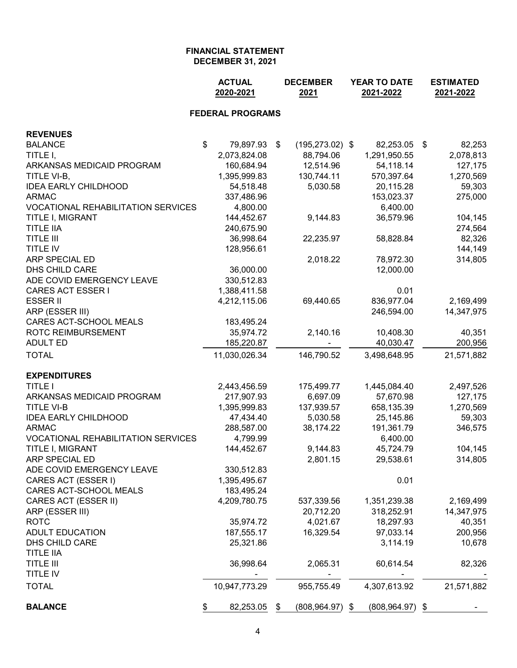| <b>FEDERAL PROGRAMS</b><br><b>REVENUES</b><br>$\mathfrak{S}$<br><b>BALANCE</b><br>79,897.93<br>\$<br>$(195, 273.02)$ \$<br>82,253.05 \$<br>82,253<br>TITLE I,<br>2,073,824.08<br>88,794.06<br>1,291,950.55<br>2,078,813<br>160,684.94<br>12,514.96<br>54,118.14<br>ARKANSAS MEDICAID PROGRAM<br>127,175<br>1,395,999.83<br>130,744.11<br>570,397.64<br>TITLE VI-B,<br>1,270,569<br>54,518.48<br>5,030.58<br>20,115.28<br><b>IDEA EARLY CHILDHOOD</b><br>59,303<br>337,486.96<br>153,023.37<br><b>ARMAC</b><br>275,000<br><b>VOCATIONAL REHABILITATION SERVICES</b><br>4,800.00<br>6,400.00<br>144,452.67<br>36,579.96<br>104,145<br>TITLE I, MIGRANT<br>9,144.83<br><b>TITLE IIA</b><br>240,675.90<br>274,564<br><b>TITLE III</b><br>36,998.64<br>22,235.97<br>82,326<br>58,828.84<br><b>TITLE IV</b><br>128,956.61<br>144,149<br>ARP SPECIAL ED<br>2,018.22<br>78,972.30<br>314,805<br><b>DHS CHILD CARE</b><br>36,000.00<br>12,000.00<br>ADE COVID EMERGENCY LEAVE<br>330,512.83<br><b>CARES ACT ESSER I</b><br>1,388,411.58<br>0.01<br><b>ESSER II</b><br>836,977.04<br>4,212,115.06<br>69,440.65<br>2,169,499<br>ARP (ESSER III)<br>246,594.00<br>14,347,975<br>CARES ACT-SCHOOL MEALS<br>183,495.24<br>ROTC REIMBURSEMENT<br>35,974.72<br>2,140.16<br>10,408.30<br>40,351<br><b>ADULT ED</b><br>185,220.87<br>40,030.47<br>200,956<br><b>TOTAL</b><br>11,030,026.34<br>146,790.52<br>3,498,648.95<br>21,571,882<br><b>EXPENDITURES</b><br><b>TITLE I</b><br>2,443,456.59<br>175,499.77<br>1,445,084.40<br>2,497,526<br>ARKANSAS MEDICAID PROGRAM<br>6,697.09<br>57,670.98<br>217,907.93<br>127,175<br>1,395,999.83<br>137,939.57<br><b>TITLE VI-B</b><br>658,135.39<br>1,270,569<br>47,434.40<br><b>IDEA EARLY CHILDHOOD</b><br>5,030.58<br>25,145.86<br>59,303<br>288,587.00<br>38,174.22<br><b>ARMAC</b><br>191,361.79<br>346,575<br><b>VOCATIONAL REHABILITATION SERVICES</b><br>4,799.99<br>6,400.00<br>104,145<br>TITLE I, MIGRANT<br>144,452.67<br>45,724.79<br>9,144.83<br><b>ARP SPECIAL ED</b><br>2,801.15<br>29,538.61<br>314,805<br>ADE COVID EMERGENCY LEAVE<br>330,512.83<br>CARES ACT (ESSER I)<br>1,395,495.67<br>0.01<br>CARES ACT-SCHOOL MEALS<br>183,495.24<br>CARES ACT (ESSER II)<br>4,209,780.75<br>1,351,239.38<br>2,169,499<br>537,339.56<br>ARP (ESSER III)<br>20,712.20<br>318,252.91<br>14,347,975<br><b>ROTC</b><br>4,021.67<br>18,297.93<br>35,974.72<br>40,351<br><b>ADULT EDUCATION</b><br>187,555.17<br>16,329.54<br>97,033.14<br>200,956<br>DHS CHILD CARE<br>25,321.86<br>3,114.19<br>10,678<br><b>TITLE IIA</b><br><b>TITLE III</b><br>36,998.64<br>2,065.31<br>60,614.54<br>82,326<br>TITLE IV<br><b>TOTAL</b><br>10,947,773.29<br>955,755.49<br>4,307,613.92<br>21,571,882<br><b>BALANCE</b><br>82,253.05<br>$(808, 964.97)$ \$<br>$(808, 964.97)$ \$<br>\$<br>\$ |  |  | <b>ACTUAL</b><br>2020-2021 |  | <b>DECEMBER</b><br>2021 | <b>YEAR TO DATE</b><br>2021-2022 |  |  | <b>ESTIMATED</b><br>2021-2022 |  |
|------------------------------------------------------------------------------------------------------------------------------------------------------------------------------------------------------------------------------------------------------------------------------------------------------------------------------------------------------------------------------------------------------------------------------------------------------------------------------------------------------------------------------------------------------------------------------------------------------------------------------------------------------------------------------------------------------------------------------------------------------------------------------------------------------------------------------------------------------------------------------------------------------------------------------------------------------------------------------------------------------------------------------------------------------------------------------------------------------------------------------------------------------------------------------------------------------------------------------------------------------------------------------------------------------------------------------------------------------------------------------------------------------------------------------------------------------------------------------------------------------------------------------------------------------------------------------------------------------------------------------------------------------------------------------------------------------------------------------------------------------------------------------------------------------------------------------------------------------------------------------------------------------------------------------------------------------------------------------------------------------------------------------------------------------------------------------------------------------------------------------------------------------------------------------------------------------------------------------------------------------------------------------------------------------------------------------------------------------------------------------------------------------------------------------------------------------------------------------------------------------------------------------------------------------------------------------------------------------------------------------------------------------------------------------------------------------------------------------------------------------------------------------------------------------------|--|--|----------------------------|--|-------------------------|----------------------------------|--|--|-------------------------------|--|
|                                                                                                                                                                                                                                                                                                                                                                                                                                                                                                                                                                                                                                                                                                                                                                                                                                                                                                                                                                                                                                                                                                                                                                                                                                                                                                                                                                                                                                                                                                                                                                                                                                                                                                                                                                                                                                                                                                                                                                                                                                                                                                                                                                                                                                                                                                                                                                                                                                                                                                                                                                                                                                                                                                                                                                                                            |  |  |                            |  |                         |                                  |  |  |                               |  |
|                                                                                                                                                                                                                                                                                                                                                                                                                                                                                                                                                                                                                                                                                                                                                                                                                                                                                                                                                                                                                                                                                                                                                                                                                                                                                                                                                                                                                                                                                                                                                                                                                                                                                                                                                                                                                                                                                                                                                                                                                                                                                                                                                                                                                                                                                                                                                                                                                                                                                                                                                                                                                                                                                                                                                                                                            |  |  |                            |  |                         |                                  |  |  |                               |  |
|                                                                                                                                                                                                                                                                                                                                                                                                                                                                                                                                                                                                                                                                                                                                                                                                                                                                                                                                                                                                                                                                                                                                                                                                                                                                                                                                                                                                                                                                                                                                                                                                                                                                                                                                                                                                                                                                                                                                                                                                                                                                                                                                                                                                                                                                                                                                                                                                                                                                                                                                                                                                                                                                                                                                                                                                            |  |  |                            |  |                         |                                  |  |  |                               |  |
|                                                                                                                                                                                                                                                                                                                                                                                                                                                                                                                                                                                                                                                                                                                                                                                                                                                                                                                                                                                                                                                                                                                                                                                                                                                                                                                                                                                                                                                                                                                                                                                                                                                                                                                                                                                                                                                                                                                                                                                                                                                                                                                                                                                                                                                                                                                                                                                                                                                                                                                                                                                                                                                                                                                                                                                                            |  |  |                            |  |                         |                                  |  |  |                               |  |
|                                                                                                                                                                                                                                                                                                                                                                                                                                                                                                                                                                                                                                                                                                                                                                                                                                                                                                                                                                                                                                                                                                                                                                                                                                                                                                                                                                                                                                                                                                                                                                                                                                                                                                                                                                                                                                                                                                                                                                                                                                                                                                                                                                                                                                                                                                                                                                                                                                                                                                                                                                                                                                                                                                                                                                                                            |  |  |                            |  |                         |                                  |  |  |                               |  |
|                                                                                                                                                                                                                                                                                                                                                                                                                                                                                                                                                                                                                                                                                                                                                                                                                                                                                                                                                                                                                                                                                                                                                                                                                                                                                                                                                                                                                                                                                                                                                                                                                                                                                                                                                                                                                                                                                                                                                                                                                                                                                                                                                                                                                                                                                                                                                                                                                                                                                                                                                                                                                                                                                                                                                                                                            |  |  |                            |  |                         |                                  |  |  |                               |  |
|                                                                                                                                                                                                                                                                                                                                                                                                                                                                                                                                                                                                                                                                                                                                                                                                                                                                                                                                                                                                                                                                                                                                                                                                                                                                                                                                                                                                                                                                                                                                                                                                                                                                                                                                                                                                                                                                                                                                                                                                                                                                                                                                                                                                                                                                                                                                                                                                                                                                                                                                                                                                                                                                                                                                                                                                            |  |  |                            |  |                         |                                  |  |  |                               |  |
|                                                                                                                                                                                                                                                                                                                                                                                                                                                                                                                                                                                                                                                                                                                                                                                                                                                                                                                                                                                                                                                                                                                                                                                                                                                                                                                                                                                                                                                                                                                                                                                                                                                                                                                                                                                                                                                                                                                                                                                                                                                                                                                                                                                                                                                                                                                                                                                                                                                                                                                                                                                                                                                                                                                                                                                                            |  |  |                            |  |                         |                                  |  |  |                               |  |
|                                                                                                                                                                                                                                                                                                                                                                                                                                                                                                                                                                                                                                                                                                                                                                                                                                                                                                                                                                                                                                                                                                                                                                                                                                                                                                                                                                                                                                                                                                                                                                                                                                                                                                                                                                                                                                                                                                                                                                                                                                                                                                                                                                                                                                                                                                                                                                                                                                                                                                                                                                                                                                                                                                                                                                                                            |  |  |                            |  |                         |                                  |  |  |                               |  |
|                                                                                                                                                                                                                                                                                                                                                                                                                                                                                                                                                                                                                                                                                                                                                                                                                                                                                                                                                                                                                                                                                                                                                                                                                                                                                                                                                                                                                                                                                                                                                                                                                                                                                                                                                                                                                                                                                                                                                                                                                                                                                                                                                                                                                                                                                                                                                                                                                                                                                                                                                                                                                                                                                                                                                                                                            |  |  |                            |  |                         |                                  |  |  |                               |  |
|                                                                                                                                                                                                                                                                                                                                                                                                                                                                                                                                                                                                                                                                                                                                                                                                                                                                                                                                                                                                                                                                                                                                                                                                                                                                                                                                                                                                                                                                                                                                                                                                                                                                                                                                                                                                                                                                                                                                                                                                                                                                                                                                                                                                                                                                                                                                                                                                                                                                                                                                                                                                                                                                                                                                                                                                            |  |  |                            |  |                         |                                  |  |  |                               |  |
|                                                                                                                                                                                                                                                                                                                                                                                                                                                                                                                                                                                                                                                                                                                                                                                                                                                                                                                                                                                                                                                                                                                                                                                                                                                                                                                                                                                                                                                                                                                                                                                                                                                                                                                                                                                                                                                                                                                                                                                                                                                                                                                                                                                                                                                                                                                                                                                                                                                                                                                                                                                                                                                                                                                                                                                                            |  |  |                            |  |                         |                                  |  |  |                               |  |
|                                                                                                                                                                                                                                                                                                                                                                                                                                                                                                                                                                                                                                                                                                                                                                                                                                                                                                                                                                                                                                                                                                                                                                                                                                                                                                                                                                                                                                                                                                                                                                                                                                                                                                                                                                                                                                                                                                                                                                                                                                                                                                                                                                                                                                                                                                                                                                                                                                                                                                                                                                                                                                                                                                                                                                                                            |  |  |                            |  |                         |                                  |  |  |                               |  |
|                                                                                                                                                                                                                                                                                                                                                                                                                                                                                                                                                                                                                                                                                                                                                                                                                                                                                                                                                                                                                                                                                                                                                                                                                                                                                                                                                                                                                                                                                                                                                                                                                                                                                                                                                                                                                                                                                                                                                                                                                                                                                                                                                                                                                                                                                                                                                                                                                                                                                                                                                                                                                                                                                                                                                                                                            |  |  |                            |  |                         |                                  |  |  |                               |  |
|                                                                                                                                                                                                                                                                                                                                                                                                                                                                                                                                                                                                                                                                                                                                                                                                                                                                                                                                                                                                                                                                                                                                                                                                                                                                                                                                                                                                                                                                                                                                                                                                                                                                                                                                                                                                                                                                                                                                                                                                                                                                                                                                                                                                                                                                                                                                                                                                                                                                                                                                                                                                                                                                                                                                                                                                            |  |  |                            |  |                         |                                  |  |  |                               |  |
|                                                                                                                                                                                                                                                                                                                                                                                                                                                                                                                                                                                                                                                                                                                                                                                                                                                                                                                                                                                                                                                                                                                                                                                                                                                                                                                                                                                                                                                                                                                                                                                                                                                                                                                                                                                                                                                                                                                                                                                                                                                                                                                                                                                                                                                                                                                                                                                                                                                                                                                                                                                                                                                                                                                                                                                                            |  |  |                            |  |                         |                                  |  |  |                               |  |
|                                                                                                                                                                                                                                                                                                                                                                                                                                                                                                                                                                                                                                                                                                                                                                                                                                                                                                                                                                                                                                                                                                                                                                                                                                                                                                                                                                                                                                                                                                                                                                                                                                                                                                                                                                                                                                                                                                                                                                                                                                                                                                                                                                                                                                                                                                                                                                                                                                                                                                                                                                                                                                                                                                                                                                                                            |  |  |                            |  |                         |                                  |  |  |                               |  |
|                                                                                                                                                                                                                                                                                                                                                                                                                                                                                                                                                                                                                                                                                                                                                                                                                                                                                                                                                                                                                                                                                                                                                                                                                                                                                                                                                                                                                                                                                                                                                                                                                                                                                                                                                                                                                                                                                                                                                                                                                                                                                                                                                                                                                                                                                                                                                                                                                                                                                                                                                                                                                                                                                                                                                                                                            |  |  |                            |  |                         |                                  |  |  |                               |  |
|                                                                                                                                                                                                                                                                                                                                                                                                                                                                                                                                                                                                                                                                                                                                                                                                                                                                                                                                                                                                                                                                                                                                                                                                                                                                                                                                                                                                                                                                                                                                                                                                                                                                                                                                                                                                                                                                                                                                                                                                                                                                                                                                                                                                                                                                                                                                                                                                                                                                                                                                                                                                                                                                                                                                                                                                            |  |  |                            |  |                         |                                  |  |  |                               |  |
|                                                                                                                                                                                                                                                                                                                                                                                                                                                                                                                                                                                                                                                                                                                                                                                                                                                                                                                                                                                                                                                                                                                                                                                                                                                                                                                                                                                                                                                                                                                                                                                                                                                                                                                                                                                                                                                                                                                                                                                                                                                                                                                                                                                                                                                                                                                                                                                                                                                                                                                                                                                                                                                                                                                                                                                                            |  |  |                            |  |                         |                                  |  |  |                               |  |
|                                                                                                                                                                                                                                                                                                                                                                                                                                                                                                                                                                                                                                                                                                                                                                                                                                                                                                                                                                                                                                                                                                                                                                                                                                                                                                                                                                                                                                                                                                                                                                                                                                                                                                                                                                                                                                                                                                                                                                                                                                                                                                                                                                                                                                                                                                                                                                                                                                                                                                                                                                                                                                                                                                                                                                                                            |  |  |                            |  |                         |                                  |  |  |                               |  |
|                                                                                                                                                                                                                                                                                                                                                                                                                                                                                                                                                                                                                                                                                                                                                                                                                                                                                                                                                                                                                                                                                                                                                                                                                                                                                                                                                                                                                                                                                                                                                                                                                                                                                                                                                                                                                                                                                                                                                                                                                                                                                                                                                                                                                                                                                                                                                                                                                                                                                                                                                                                                                                                                                                                                                                                                            |  |  |                            |  |                         |                                  |  |  |                               |  |
|                                                                                                                                                                                                                                                                                                                                                                                                                                                                                                                                                                                                                                                                                                                                                                                                                                                                                                                                                                                                                                                                                                                                                                                                                                                                                                                                                                                                                                                                                                                                                                                                                                                                                                                                                                                                                                                                                                                                                                                                                                                                                                                                                                                                                                                                                                                                                                                                                                                                                                                                                                                                                                                                                                                                                                                                            |  |  |                            |  |                         |                                  |  |  |                               |  |
|                                                                                                                                                                                                                                                                                                                                                                                                                                                                                                                                                                                                                                                                                                                                                                                                                                                                                                                                                                                                                                                                                                                                                                                                                                                                                                                                                                                                                                                                                                                                                                                                                                                                                                                                                                                                                                                                                                                                                                                                                                                                                                                                                                                                                                                                                                                                                                                                                                                                                                                                                                                                                                                                                                                                                                                                            |  |  |                            |  |                         |                                  |  |  |                               |  |
|                                                                                                                                                                                                                                                                                                                                                                                                                                                                                                                                                                                                                                                                                                                                                                                                                                                                                                                                                                                                                                                                                                                                                                                                                                                                                                                                                                                                                                                                                                                                                                                                                                                                                                                                                                                                                                                                                                                                                                                                                                                                                                                                                                                                                                                                                                                                                                                                                                                                                                                                                                                                                                                                                                                                                                                                            |  |  |                            |  |                         |                                  |  |  |                               |  |
|                                                                                                                                                                                                                                                                                                                                                                                                                                                                                                                                                                                                                                                                                                                                                                                                                                                                                                                                                                                                                                                                                                                                                                                                                                                                                                                                                                                                                                                                                                                                                                                                                                                                                                                                                                                                                                                                                                                                                                                                                                                                                                                                                                                                                                                                                                                                                                                                                                                                                                                                                                                                                                                                                                                                                                                                            |  |  |                            |  |                         |                                  |  |  |                               |  |
|                                                                                                                                                                                                                                                                                                                                                                                                                                                                                                                                                                                                                                                                                                                                                                                                                                                                                                                                                                                                                                                                                                                                                                                                                                                                                                                                                                                                                                                                                                                                                                                                                                                                                                                                                                                                                                                                                                                                                                                                                                                                                                                                                                                                                                                                                                                                                                                                                                                                                                                                                                                                                                                                                                                                                                                                            |  |  |                            |  |                         |                                  |  |  |                               |  |
|                                                                                                                                                                                                                                                                                                                                                                                                                                                                                                                                                                                                                                                                                                                                                                                                                                                                                                                                                                                                                                                                                                                                                                                                                                                                                                                                                                                                                                                                                                                                                                                                                                                                                                                                                                                                                                                                                                                                                                                                                                                                                                                                                                                                                                                                                                                                                                                                                                                                                                                                                                                                                                                                                                                                                                                                            |  |  |                            |  |                         |                                  |  |  |                               |  |
|                                                                                                                                                                                                                                                                                                                                                                                                                                                                                                                                                                                                                                                                                                                                                                                                                                                                                                                                                                                                                                                                                                                                                                                                                                                                                                                                                                                                                                                                                                                                                                                                                                                                                                                                                                                                                                                                                                                                                                                                                                                                                                                                                                                                                                                                                                                                                                                                                                                                                                                                                                                                                                                                                                                                                                                                            |  |  |                            |  |                         |                                  |  |  |                               |  |
|                                                                                                                                                                                                                                                                                                                                                                                                                                                                                                                                                                                                                                                                                                                                                                                                                                                                                                                                                                                                                                                                                                                                                                                                                                                                                                                                                                                                                                                                                                                                                                                                                                                                                                                                                                                                                                                                                                                                                                                                                                                                                                                                                                                                                                                                                                                                                                                                                                                                                                                                                                                                                                                                                                                                                                                                            |  |  |                            |  |                         |                                  |  |  |                               |  |
|                                                                                                                                                                                                                                                                                                                                                                                                                                                                                                                                                                                                                                                                                                                                                                                                                                                                                                                                                                                                                                                                                                                                                                                                                                                                                                                                                                                                                                                                                                                                                                                                                                                                                                                                                                                                                                                                                                                                                                                                                                                                                                                                                                                                                                                                                                                                                                                                                                                                                                                                                                                                                                                                                                                                                                                                            |  |  |                            |  |                         |                                  |  |  |                               |  |
|                                                                                                                                                                                                                                                                                                                                                                                                                                                                                                                                                                                                                                                                                                                                                                                                                                                                                                                                                                                                                                                                                                                                                                                                                                                                                                                                                                                                                                                                                                                                                                                                                                                                                                                                                                                                                                                                                                                                                                                                                                                                                                                                                                                                                                                                                                                                                                                                                                                                                                                                                                                                                                                                                                                                                                                                            |  |  |                            |  |                         |                                  |  |  |                               |  |
|                                                                                                                                                                                                                                                                                                                                                                                                                                                                                                                                                                                                                                                                                                                                                                                                                                                                                                                                                                                                                                                                                                                                                                                                                                                                                                                                                                                                                                                                                                                                                                                                                                                                                                                                                                                                                                                                                                                                                                                                                                                                                                                                                                                                                                                                                                                                                                                                                                                                                                                                                                                                                                                                                                                                                                                                            |  |  |                            |  |                         |                                  |  |  |                               |  |
|                                                                                                                                                                                                                                                                                                                                                                                                                                                                                                                                                                                                                                                                                                                                                                                                                                                                                                                                                                                                                                                                                                                                                                                                                                                                                                                                                                                                                                                                                                                                                                                                                                                                                                                                                                                                                                                                                                                                                                                                                                                                                                                                                                                                                                                                                                                                                                                                                                                                                                                                                                                                                                                                                                                                                                                                            |  |  |                            |  |                         |                                  |  |  |                               |  |
|                                                                                                                                                                                                                                                                                                                                                                                                                                                                                                                                                                                                                                                                                                                                                                                                                                                                                                                                                                                                                                                                                                                                                                                                                                                                                                                                                                                                                                                                                                                                                                                                                                                                                                                                                                                                                                                                                                                                                                                                                                                                                                                                                                                                                                                                                                                                                                                                                                                                                                                                                                                                                                                                                                                                                                                                            |  |  |                            |  |                         |                                  |  |  |                               |  |
|                                                                                                                                                                                                                                                                                                                                                                                                                                                                                                                                                                                                                                                                                                                                                                                                                                                                                                                                                                                                                                                                                                                                                                                                                                                                                                                                                                                                                                                                                                                                                                                                                                                                                                                                                                                                                                                                                                                                                                                                                                                                                                                                                                                                                                                                                                                                                                                                                                                                                                                                                                                                                                                                                                                                                                                                            |  |  |                            |  |                         |                                  |  |  |                               |  |
|                                                                                                                                                                                                                                                                                                                                                                                                                                                                                                                                                                                                                                                                                                                                                                                                                                                                                                                                                                                                                                                                                                                                                                                                                                                                                                                                                                                                                                                                                                                                                                                                                                                                                                                                                                                                                                                                                                                                                                                                                                                                                                                                                                                                                                                                                                                                                                                                                                                                                                                                                                                                                                                                                                                                                                                                            |  |  |                            |  |                         |                                  |  |  |                               |  |
|                                                                                                                                                                                                                                                                                                                                                                                                                                                                                                                                                                                                                                                                                                                                                                                                                                                                                                                                                                                                                                                                                                                                                                                                                                                                                                                                                                                                                                                                                                                                                                                                                                                                                                                                                                                                                                                                                                                                                                                                                                                                                                                                                                                                                                                                                                                                                                                                                                                                                                                                                                                                                                                                                                                                                                                                            |  |  |                            |  |                         |                                  |  |  |                               |  |
|                                                                                                                                                                                                                                                                                                                                                                                                                                                                                                                                                                                                                                                                                                                                                                                                                                                                                                                                                                                                                                                                                                                                                                                                                                                                                                                                                                                                                                                                                                                                                                                                                                                                                                                                                                                                                                                                                                                                                                                                                                                                                                                                                                                                                                                                                                                                                                                                                                                                                                                                                                                                                                                                                                                                                                                                            |  |  |                            |  |                         |                                  |  |  |                               |  |
|                                                                                                                                                                                                                                                                                                                                                                                                                                                                                                                                                                                                                                                                                                                                                                                                                                                                                                                                                                                                                                                                                                                                                                                                                                                                                                                                                                                                                                                                                                                                                                                                                                                                                                                                                                                                                                                                                                                                                                                                                                                                                                                                                                                                                                                                                                                                                                                                                                                                                                                                                                                                                                                                                                                                                                                                            |  |  |                            |  |                         |                                  |  |  |                               |  |
|                                                                                                                                                                                                                                                                                                                                                                                                                                                                                                                                                                                                                                                                                                                                                                                                                                                                                                                                                                                                                                                                                                                                                                                                                                                                                                                                                                                                                                                                                                                                                                                                                                                                                                                                                                                                                                                                                                                                                                                                                                                                                                                                                                                                                                                                                                                                                                                                                                                                                                                                                                                                                                                                                                                                                                                                            |  |  |                            |  |                         |                                  |  |  |                               |  |
|                                                                                                                                                                                                                                                                                                                                                                                                                                                                                                                                                                                                                                                                                                                                                                                                                                                                                                                                                                                                                                                                                                                                                                                                                                                                                                                                                                                                                                                                                                                                                                                                                                                                                                                                                                                                                                                                                                                                                                                                                                                                                                                                                                                                                                                                                                                                                                                                                                                                                                                                                                                                                                                                                                                                                                                                            |  |  |                            |  |                         |                                  |  |  |                               |  |
|                                                                                                                                                                                                                                                                                                                                                                                                                                                                                                                                                                                                                                                                                                                                                                                                                                                                                                                                                                                                                                                                                                                                                                                                                                                                                                                                                                                                                                                                                                                                                                                                                                                                                                                                                                                                                                                                                                                                                                                                                                                                                                                                                                                                                                                                                                                                                                                                                                                                                                                                                                                                                                                                                                                                                                                                            |  |  |                            |  |                         |                                  |  |  |                               |  |
|                                                                                                                                                                                                                                                                                                                                                                                                                                                                                                                                                                                                                                                                                                                                                                                                                                                                                                                                                                                                                                                                                                                                                                                                                                                                                                                                                                                                                                                                                                                                                                                                                                                                                                                                                                                                                                                                                                                                                                                                                                                                                                                                                                                                                                                                                                                                                                                                                                                                                                                                                                                                                                                                                                                                                                                                            |  |  |                            |  |                         |                                  |  |  |                               |  |
|                                                                                                                                                                                                                                                                                                                                                                                                                                                                                                                                                                                                                                                                                                                                                                                                                                                                                                                                                                                                                                                                                                                                                                                                                                                                                                                                                                                                                                                                                                                                                                                                                                                                                                                                                                                                                                                                                                                                                                                                                                                                                                                                                                                                                                                                                                                                                                                                                                                                                                                                                                                                                                                                                                                                                                                                            |  |  |                            |  |                         |                                  |  |  |                               |  |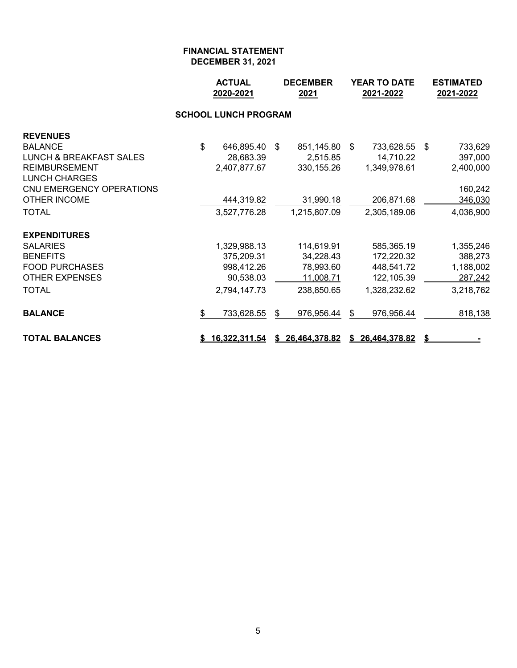|                                    |                | <b>ACTUAL</b><br>2020-2021  | <b>DECEMBER</b><br>2021 |     | <b>YEAR TO DATE</b><br>2021-2022 |     | <b>ESTIMATED</b><br>2021-2022 |
|------------------------------------|----------------|-----------------------------|-------------------------|-----|----------------------------------|-----|-------------------------------|
|                                    |                | <b>SCHOOL LUNCH PROGRAM</b> |                         |     |                                  |     |                               |
| <b>REVENUES</b>                    |                |                             |                         |     |                                  |     |                               |
| <b>BALANCE</b>                     | $\mathfrak{S}$ | 646,895.40                  | \$<br>851,145.80        | -\$ | 733,628.55                       | -\$ | 733,629                       |
| <b>LUNCH &amp; BREAKFAST SALES</b> |                | 28,683.39                   | 2,515.85                |     | 14,710.22                        |     | 397,000                       |
| <b>REIMBURSEMENT</b>               |                | 2,407,877.67                | 330, 155.26             |     | 1,349,978.61                     |     | 2,400,000                     |
| <b>LUNCH CHARGES</b>               |                |                             |                         |     |                                  |     |                               |
| CNU EMERGENCY OPERATIONS           |                |                             |                         |     |                                  |     | 160,242                       |
| <b>OTHER INCOME</b>                |                | 444,319.82                  | 31,990.18               |     | 206,871.68                       |     | 346,030                       |
| <b>TOTAL</b>                       |                | 3,527,776.28                | 1,215,807.09            |     | 2,305,189.06                     |     | 4,036,900                     |
| <b>EXPENDITURES</b>                |                |                             |                         |     |                                  |     |                               |
| <b>SALARIES</b>                    |                | 1,329,988.13                | 114,619.91              |     | 585,365.19                       |     | 1,355,246                     |
| <b>BENEFITS</b>                    |                | 375,209.31                  | 34,228.43               |     | 172,220.32                       |     | 388,273                       |
| <b>FOOD PURCHASES</b>              |                | 998,412.26                  | 78,993.60               |     | 448,541.72                       |     | 1,188,002                     |
| <b>OTHER EXPENSES</b>              |                | 90,538.03                   | 11,008.71               |     | 122,105.39                       |     | 287,242                       |
| <b>TOTAL</b>                       |                | 2,794,147.73                | 238,850.65              |     | 1,328,232.62                     |     | 3,218,762                     |
| <b>BALANCE</b>                     | \$             | 733,628.55                  | \$<br>976,956.44        | \$  | 976,956.44                       |     | 818,138                       |
| <b>TOTAL BALANCES</b>              |                | 16,322,311.54               | \$ 26,464,378.82        |     | \$26,464,378.82                  | \$  |                               |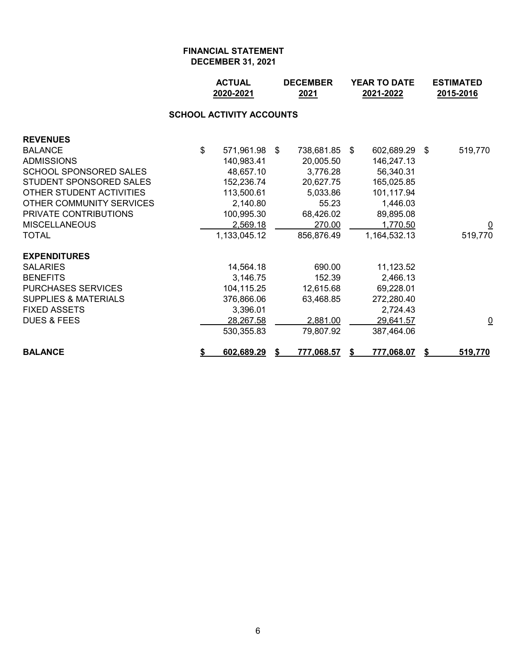|                                 |    | <b>ACTUAL</b><br><b>DECEMBER</b><br>2020-2021<br>2021 |   |            |      | <b>YEAR TO DATE</b><br>2021-2022 |     | <b>ESTIMATED</b><br>2015-2016 |  |  |  |  |  |
|---------------------------------|----|-------------------------------------------------------|---|------------|------|----------------------------------|-----|-------------------------------|--|--|--|--|--|
| <b>SCHOOL ACTIVITY ACCOUNTS</b> |    |                                                       |   |            |      |                                  |     |                               |  |  |  |  |  |
| <b>REVENUES</b>                 |    |                                                       |   |            |      |                                  |     |                               |  |  |  |  |  |
| <b>BALANCE</b>                  | \$ | 571,961.98 \$                                         |   | 738,681.85 | - \$ | 602,689.29                       | -\$ | 519,770                       |  |  |  |  |  |
| <b>ADMISSIONS</b>               |    | 140,983.41                                            |   | 20,005.50  |      | 146,247.13                       |     |                               |  |  |  |  |  |
| <b>SCHOOL SPONSORED SALES</b>   |    | 48,657.10                                             |   | 3,776.28   |      | 56,340.31                        |     |                               |  |  |  |  |  |
| STUDENT SPONSORED SALES         |    | 152,236.74                                            |   | 20,627.75  |      | 165,025.85                       |     |                               |  |  |  |  |  |
| OTHER STUDENT ACTIVITIES        |    | 113,500.61                                            |   | 5,033.86   |      | 101,117.94                       |     |                               |  |  |  |  |  |
| OTHER COMMUNITY SERVICES        |    | 2,140.80                                              |   | 55.23      |      | 1,446.03                         |     |                               |  |  |  |  |  |
| PRIVATE CONTRIBUTIONS           |    | 100,995.30                                            |   | 68,426.02  |      | 89,895.08                        |     |                               |  |  |  |  |  |
| <b>MISCELLANEOUS</b>            |    | 2,569.18                                              |   | 270.00     |      | 1,770.50                         |     | $\overline{\mathsf{C}}$       |  |  |  |  |  |
| <b>TOTAL</b>                    |    | 1,133,045.12                                          |   | 856,876.49 |      | 1,164,532.13                     |     | 519,770                       |  |  |  |  |  |
| <b>EXPENDITURES</b>             |    |                                                       |   |            |      |                                  |     |                               |  |  |  |  |  |
| <b>SALARIES</b>                 |    | 14,564.18                                             |   | 690.00     |      | 11,123.52                        |     |                               |  |  |  |  |  |
| <b>BENEFITS</b>                 |    | 3,146.75                                              |   | 152.39     |      | 2,466.13                         |     |                               |  |  |  |  |  |
| <b>PURCHASES SERVICES</b>       |    | 104,115.25                                            |   | 12,615.68  |      | 69,228.01                        |     |                               |  |  |  |  |  |
| <b>SUPPLIES &amp; MATERIALS</b> |    | 376,866.06                                            |   | 63,468.85  |      | 272,280.40                       |     |                               |  |  |  |  |  |
| <b>FIXED ASSETS</b>             |    | 3,396.01                                              |   |            |      | 2,724.43                         |     |                               |  |  |  |  |  |
| <b>DUES &amp; FEES</b>          |    | 28,267.58                                             |   | 2,881.00   |      | 29,641.57                        |     | $\overline{\mathsf{C}}$       |  |  |  |  |  |
|                                 |    | 530,355.83                                            |   | 79,807.92  |      | 387,464.06                       |     |                               |  |  |  |  |  |
| <b>BALANCE</b>                  | \$ | 602,689.29                                            | S | 777,068.57 | S    | 777,068.07                       |     | 519,770                       |  |  |  |  |  |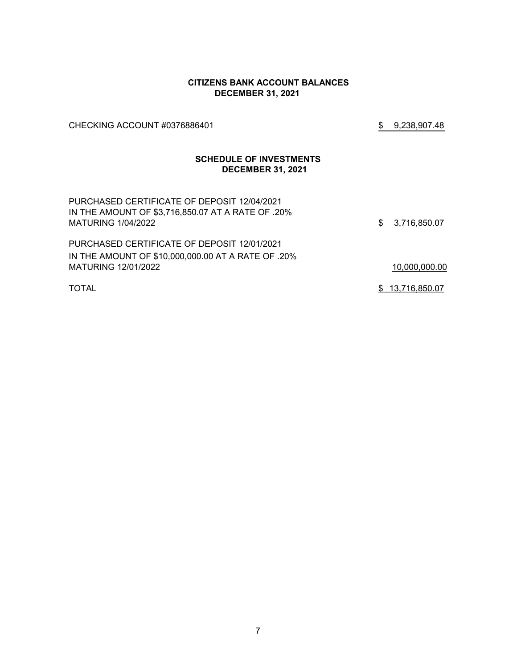#### **CITIZENS BANK ACCOUNT BALANCES DECEMBER 31, 2021**

CHECKING ACCOUNT #0376886401 \$ 9,238,907.48

## **SCHEDULE OF INVESTMENTS DECEMBER 31, 2021**

| PURCHASED CERTIFICATE OF DEPOSIT 12/04/2021<br>IN THE AMOUNT OF \$3,716,850.07 AT A RATE OF .20%<br><b>MATURING 1/04/2022</b> | \$3,716,850.07  |
|-------------------------------------------------------------------------------------------------------------------------------|-----------------|
| PURCHASED CERTIFICATE OF DEPOSIT 12/01/2021                                                                                   |                 |
| IN THE AMOUNT OF \$10,000,000.00 AT A RATE OF .20%                                                                            |                 |
| <b>MATURING 12/01/2022</b>                                                                                                    | 10,000,000.00   |
| <b>TOTAL</b>                                                                                                                  | \$13,716,850.07 |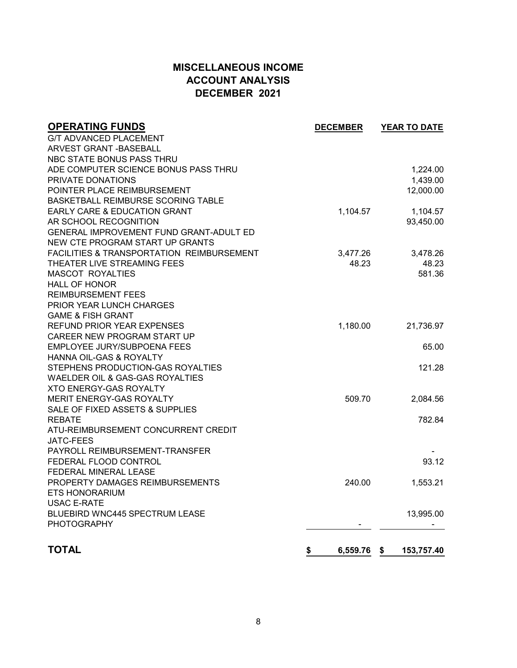# **MISCELLANEOUS INCOME ACCOUNT ANALYSIS DECEMBER 2021**

| <b>OPERATING FUNDS</b>                               | <b>DECEMBER</b> | <b>YEAR TO DATE</b> |
|------------------------------------------------------|-----------------|---------------------|
| <b>G/T ADVANCED PLACEMENT</b>                        |                 |                     |
| ARVEST GRANT - BASEBALL                              |                 |                     |
| NBC STATE BONUS PASS THRU                            |                 |                     |
| ADE COMPUTER SCIENCE BONUS PASS THRU                 |                 | 1,224.00            |
| PRIVATE DONATIONS                                    |                 | 1,439.00            |
| POINTER PLACE REIMBURSEMENT                          |                 | 12,000.00           |
| BASKETBALL REIMBURSE SCORING TABLE                   |                 |                     |
| <b>EARLY CARE &amp; EDUCATION GRANT</b>              | 1,104.57        | 1,104.57            |
| AR SCHOOL RECOGNITION                                |                 | 93,450.00           |
| GENERAL IMPROVEMENT FUND GRANT-ADULT ED              |                 |                     |
| NEW CTE PROGRAM START UP GRANTS                      |                 |                     |
| <b>FACILITIES &amp; TRANSPORTATION REIMBURSEMENT</b> | 3,477.26        | 3,478.26            |
| THEATER LIVE STREAMING FEES                          | 48.23           | 48.23               |
| <b>MASCOT ROYALTIES</b>                              |                 | 581.36              |
| <b>HALL OF HONOR</b>                                 |                 |                     |
| <b>REIMBURSEMENT FEES</b>                            |                 |                     |
| <b>PRIOR YEAR LUNCH CHARGES</b>                      |                 |                     |
| <b>GAME &amp; FISH GRANT</b>                         |                 |                     |
| REFUND PRIOR YEAR EXPENSES                           | 1,180.00        | 21,736.97           |
| CAREER NEW PROGRAM START UP                          |                 |                     |
| EMPLOYEE JURY/SUBPOENA FEES                          |                 | 65.00               |
| HANNA OIL-GAS & ROYALTY                              |                 |                     |
| STEPHENS PRODUCTION-GAS ROYALTIES                    |                 | 121.28              |
| <b>WAELDER OIL &amp; GAS-GAS ROYALTIES</b>           |                 |                     |
| <b>XTO ENERGY-GAS ROYALTY</b>                        |                 |                     |
| <b>MERIT ENERGY-GAS ROYALTY</b>                      | 509.70          | 2,084.56            |
| SALE OF FIXED ASSETS & SUPPLIES                      |                 |                     |
| <b>REBATE</b>                                        |                 | 782.84              |
| ATU-REIMBURSEMENT CONCURRENT CREDIT                  |                 |                     |
| <b>JATC-FEES</b>                                     |                 |                     |
| PAYROLL REIMBURSEMENT-TRANSFER                       |                 |                     |
| FEDERAL FLOOD CONTROL                                |                 | 93.12               |
| FEDERAL MINERAL LEASE                                |                 |                     |
| PROPERTY DAMAGES REIMBURSEMENTS                      | 240.00          | 1,553.21            |
| <b>ETS HONORARIUM</b>                                |                 |                     |
| <b>USAC E-RATE</b>                                   |                 |                     |
| BLUEBIRD WNC445 SPECTRUM LEASE                       |                 | 13,995.00           |
| <b>PHOTOGRAPHY</b>                                   |                 |                     |
|                                                      |                 |                     |
| <b>TOTAL</b>                                         | \$<br>6,559.76  | \$<br>153,757.40    |